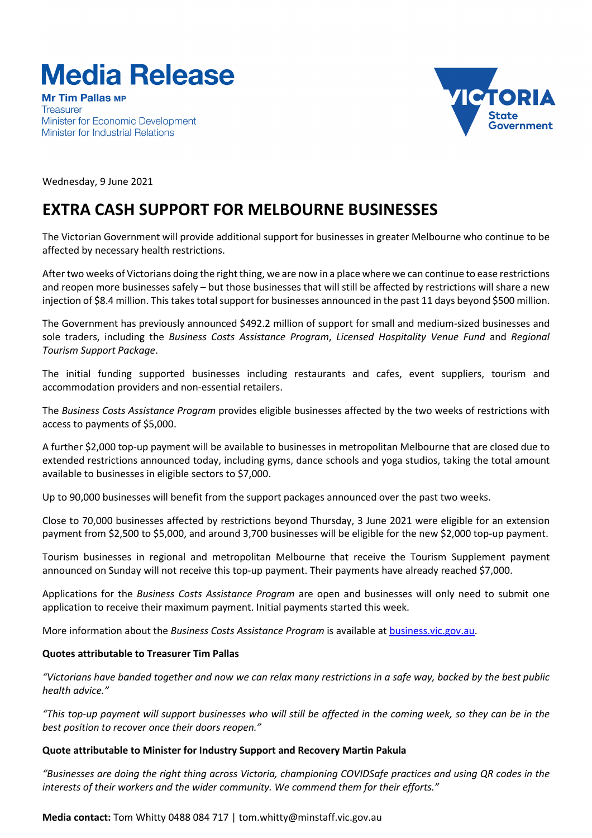# **Media Release**

**Mr Tim Pallas MP Treasurer** Minister for Economic Development Minister for Industrial Relations



Wednesday, 9 June 2021

## **EXTRA CASH SUPPORT FOR MELBOURNE BUSINESSES**

The Victorian Government will provide additional support for businesses in greater Melbourne who continue to be affected by necessary health restrictions.

After two weeks of Victorians doing the right thing, we are now in a place where we can continue to ease restrictions and reopen more businesses safely – but those businesses that will still be affected by restrictions will share a new injection of \$8.4 million. This takes total support for businesses announced in the past 11 days beyond \$500 million.

The Government has previously announced \$492.2 million of support for small and medium-sized businesses and sole traders, including the *Business Costs Assistance Program*, *Licensed Hospitality Venue Fund* and *Regional Tourism Support Package*.

The initial funding supported businesses including restaurants and cafes, event suppliers, tourism and accommodation providers and non-essential retailers.

The *Business Costs Assistance Program* provides eligible businesses affected by the two weeks of restrictions with access to payments of \$5,000.

A further \$2,000 top-up payment will be available to businesses in metropolitan Melbourne that are closed due to extended restrictions announced today, including gyms, dance schools and yoga studios, taking the total amount available to businesses in eligible sectors to \$7,000.

Up to 90,000 businesses will benefit from the support packages announced over the past two weeks.

Close to 70,000 businesses affected by restrictions beyond Thursday, 3 June 2021 were eligible for an extension payment from \$2,500 to \$5,000, and around 3,700 businesses will be eligible for the new \$2,000 top-up payment.

Tourism businesses in regional and metropolitan Melbourne that receive the Tourism Supplement payment announced on Sunday will not receive this top-up payment. Their payments have already reached \$7,000.

Applications for the *Business Costs Assistance Program* are open and businesses will only need to submit one application to receive their maximum payment. Initial payments started this week.

More information about the *Business Costs Assistance Program* is available at [business.vic.gov.au.](http://www.business.vic.gov.au/)

#### **Quotes attributable to Treasurer Tim Pallas**

"Victorians have banded together and now we can relax many restrictions in a safe way, backed by the best public *health advice."*

"This top-up payment will support businesses who will still be affected in the coming week, so they can be in the *best position to recover once their doors reopen."*

#### **Quote attributable to Minister for Industry Support and Recovery Martin Pakula**

"Businesses are doing the right thing across Victoria, championing COVIDSafe practices and using QR codes in the *interests of their workers and the wider community. We commend them for their efforts."*

**Media contact:** Tom Whitty 0488 084 717 | tom.whitty@minstaff.vic.gov.au